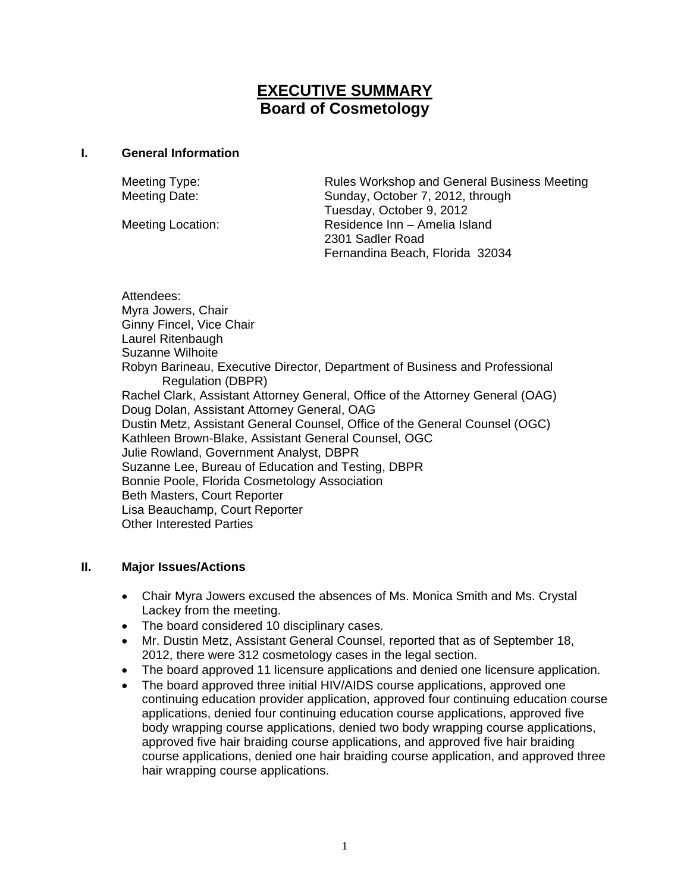# **EXECUTIVE SUMMARY Board of Cosmetology**

#### **I. General Information**

Meeting Type: Rules Workshop and General Business Meeting Meeting Date: Sunday, October 7, 2012, through Tuesday, October 9, 2012 Meeting Location: Residence Inn – Amelia Island 2301 Sadler Road Fernandina Beach, Florida 32034

Attendees: Myra Jowers, Chair Ginny Fincel, Vice Chair Laurel Ritenbaugh Suzanne Wilhoite Robyn Barineau, Executive Director, Department of Business and Professional Regulation (DBPR) Rachel Clark, Assistant Attorney General, Office of the Attorney General (OAG) Doug Dolan, Assistant Attorney General, OAG Dustin Metz, Assistant General Counsel, Office of the General Counsel (OGC) Kathleen Brown-Blake, Assistant General Counsel, OGC Julie Rowland, Government Analyst, DBPR Suzanne Lee, Bureau of Education and Testing, DBPR Bonnie Poole, Florida Cosmetology Association Beth Masters, Court Reporter Lisa Beauchamp, Court Reporter Other Interested Parties

### **II. Major Issues/Actions**

- Chair Myra Jowers excused the absences of Ms. Monica Smith and Ms. Crystal Lackey from the meeting.
- The board considered 10 disciplinary cases.
- Mr. Dustin Metz, Assistant General Counsel, reported that as of September 18, 2012, there were 312 cosmetology cases in the legal section.
- The board approved 11 licensure applications and denied one licensure application.
- The board approved three initial HIV/AIDS course applications, approved one continuing education provider application, approved four continuing education course applications, denied four continuing education course applications, approved five body wrapping course applications, denied two body wrapping course applications, approved five hair braiding course applications, and approved five hair braiding course applications, denied one hair braiding course application, and approved three hair wrapping course applications.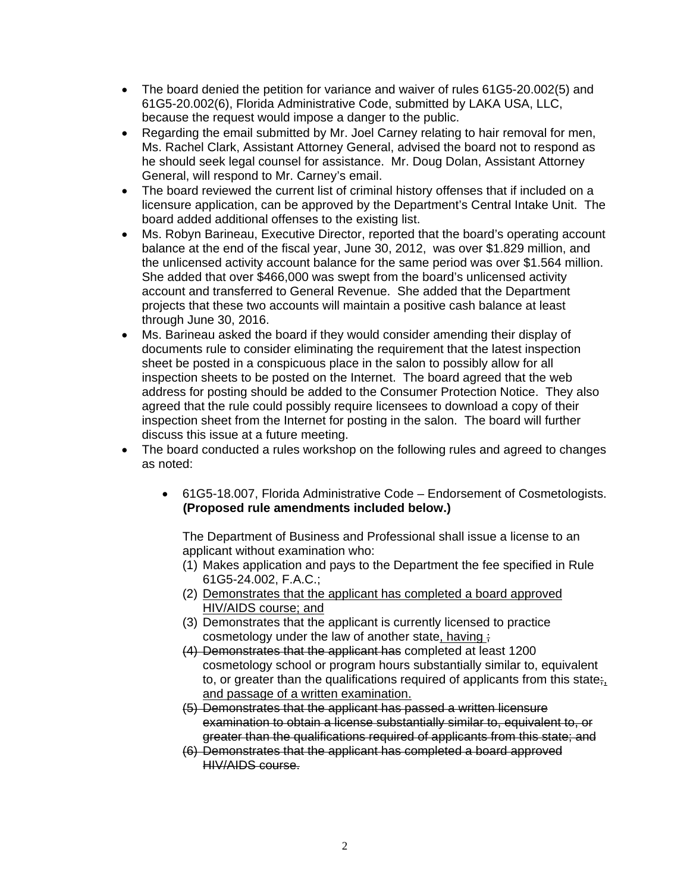- The board denied the petition for variance and waiver of rules 61G5-20.002(5) and 61G5-20.002(6), Florida Administrative Code, submitted by LAKA USA, LLC, because the request would impose a danger to the public.
- Regarding the email submitted by Mr. Joel Carney relating to hair removal for men, Ms. Rachel Clark, Assistant Attorney General, advised the board not to respond as he should seek legal counsel for assistance. Mr. Doug Dolan, Assistant Attorney General, will respond to Mr. Carney's email.
- The board reviewed the current list of criminal history offenses that if included on a licensure application, can be approved by the Department's Central Intake Unit. The board added additional offenses to the existing list.
- Ms. Robyn Barineau, Executive Director, reported that the board's operating account balance at the end of the fiscal year, June 30, 2012, was over \$1.829 million, and the unlicensed activity account balance for the same period was over \$1.564 million. She added that over \$466,000 was swept from the board's unlicensed activity account and transferred to General Revenue. She added that the Department projects that these two accounts will maintain a positive cash balance at least through June 30, 2016.
- Ms. Barineau asked the board if they would consider amending their display of documents rule to consider eliminating the requirement that the latest inspection sheet be posted in a conspicuous place in the salon to possibly allow for all inspection sheets to be posted on the Internet. The board agreed that the web address for posting should be added to the Consumer Protection Notice. They also agreed that the rule could possibly require licensees to download a copy of their inspection sheet from the Internet for posting in the salon. The board will further discuss this issue at a future meeting.
- The board conducted a rules workshop on the following rules and agreed to changes as noted:
	- 61G5-18.007, Florida Administrative Code Endorsement of Cosmetologists.  **(Proposed rule amendments included below.)**

The Department of Business and Professional shall issue a license to an applicant without examination who:

- (1) Makes application and pays to the Department the fee specified in Rule 61G5-24.002, F.A.C.;
- (2) Demonstrates that the applicant has completed a board approved HIV/AIDS course; and
- (3) Demonstrates that the applicant is currently licensed to practice cosmetology under the law of another state, having ;
- (4) Demonstrates that the applicant has completed at least 1200 cosmetology school or program hours substantially similar to, equivalent to, or greater than the qualifications required of applicants from this state;, and passage of a written examination.
- (5) Demonstrates that the applicant has passed a written licensure examination to obtain a license substantially similar to, equivalent to, or greater than the qualifications required of applicants from this state; and
- (6) Demonstrates that the applicant has completed a board approved HIV/AIDS course.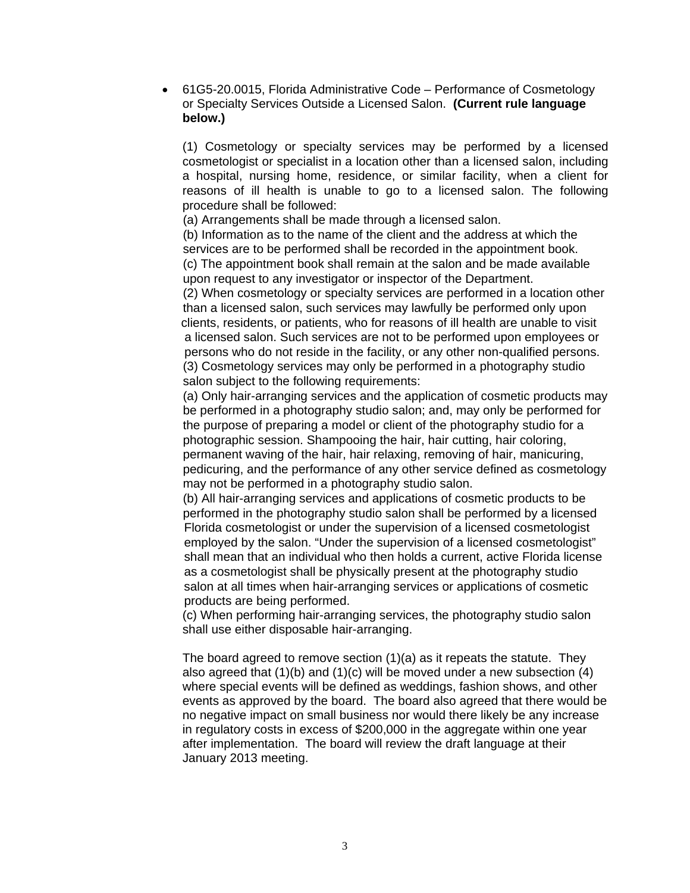61G5-20.0015, Florida Administrative Code – Performance of Cosmetology or Specialty Services Outside a Licensed Salon. **(Current rule language below.)**

(1) Cosmetology or specialty services may be performed by a licensed cosmetologist or specialist in a location other than a licensed salon, including a hospital, nursing home, residence, or similar facility, when a client for reasons of ill health is unable to go to a licensed salon. The following procedure shall be followed:

(a) Arrangements shall be made through a licensed salon.

 (b) Information as to the name of the client and the address at which the services are to be performed shall be recorded in the appointment book. (c) The appointment book shall remain at the salon and be made available upon request to any investigator or inspector of the Department.

 (2) When cosmetology or specialty services are performed in a location other than a licensed salon, such services may lawfully be performed only upon clients, residents, or patients, who for reasons of ill health are unable to visit a licensed salon. Such services are not to be performed upon employees or persons who do not reside in the facility, or any other non-qualified persons. (3) Cosmetology services may only be performed in a photography studio salon subject to the following requirements:

 (a) Only hair-arranging services and the application of cosmetic products may be performed in a photography studio salon; and, may only be performed for the purpose of preparing a model or client of the photography studio for a photographic session. Shampooing the hair, hair cutting, hair coloring, permanent waving of the hair, hair relaxing, removing of hair, manicuring, pedicuring, and the performance of any other service defined as cosmetology may not be performed in a photography studio salon.

 (b) All hair-arranging services and applications of cosmetic products to be performed in the photography studio salon shall be performed by a licensed Florida cosmetologist or under the supervision of a licensed cosmetologist employed by the salon. "Under the supervision of a licensed cosmetologist" shall mean that an individual who then holds a current, active Florida license as a cosmetologist shall be physically present at the photography studio salon at all times when hair-arranging services or applications of cosmetic products are being performed.

(c) When performing hair-arranging services, the photography studio salon shall use either disposable hair-arranging.

The board agreed to remove section (1)(a) as it repeats the statute. They also agreed that  $(1)(b)$  and  $(1)(c)$  will be moved under a new subsection  $(4)$ where special events will be defined as weddings, fashion shows, and other events as approved by the board. The board also agreed that there would be no negative impact on small business nor would there likely be any increase in regulatory costs in excess of \$200,000 in the aggregate within one year after implementation. The board will review the draft language at their January 2013 meeting.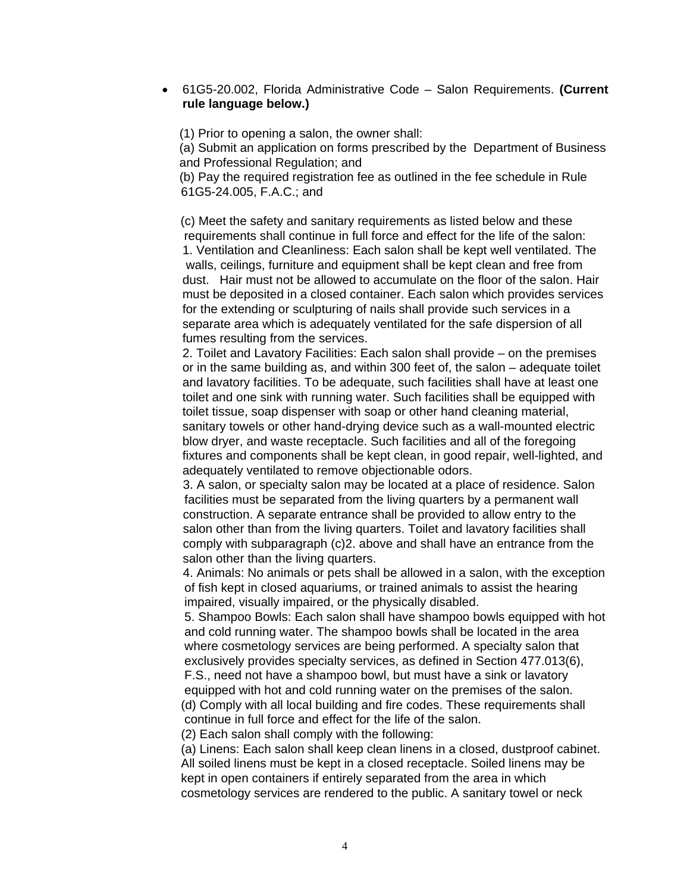#### 61G5-20.002, Florida Administrative Code – Salon Requirements. **(Current rule language below.)**

(1) Prior to opening a salon, the owner shall:

 (a) Submit an application on forms prescribed by the Department of Business and Professional Regulation; and

 (b) Pay the required registration fee as outlined in the fee schedule in Rule 61G5-24.005, F.A.C.; and

 (c) Meet the safety and sanitary requirements as listed below and these requirements shall continue in full force and effect for the life of the salon: 1. Ventilation and Cleanliness: Each salon shall be kept well ventilated. The walls, ceilings, furniture and equipment shall be kept clean and free from dust. Hair must not be allowed to accumulate on the floor of the salon. Hair must be deposited in a closed container. Each salon which provides services for the extending or sculpturing of nails shall provide such services in a separate area which is adequately ventilated for the safe dispersion of all fumes resulting from the services.

2. Toilet and Lavatory Facilities: Each salon shall provide – on the premises or in the same building as, and within 300 feet of, the salon – adequate toilet and lavatory facilities. To be adequate, such facilities shall have at least one toilet and one sink with running water. Such facilities shall be equipped with toilet tissue, soap dispenser with soap or other hand cleaning material, sanitary towels or other hand-drying device such as a wall-mounted electric blow dryer, and waste receptacle. Such facilities and all of the foregoing fixtures and components shall be kept clean, in good repair, well-lighted, and adequately ventilated to remove objectionable odors.

 3. A salon, or specialty salon may be located at a place of residence. Salon facilities must be separated from the living quarters by a permanent wall construction. A separate entrance shall be provided to allow entry to the salon other than from the living quarters. Toilet and lavatory facilities shall comply with subparagraph (c)2. above and shall have an entrance from the salon other than the living quarters.

 4. Animals: No animals or pets shall be allowed in a salon, with the exception of fish kept in closed aquariums, or trained animals to assist the hearing impaired, visually impaired, or the physically disabled.

 5. Shampoo Bowls: Each salon shall have shampoo bowls equipped with hot and cold running water. The shampoo bowls shall be located in the area where cosmetology services are being performed. A specialty salon that exclusively provides specialty services, as defined in Section 477.013(6),

 F.S., need not have a shampoo bowl, but must have a sink or lavatory equipped with hot and cold running water on the premises of the salon. (d) Comply with all local building and fire codes. These requirements shall continue in full force and effect for the life of the salon.

(2) Each salon shall comply with the following:

 (a) Linens: Each salon shall keep clean linens in a closed, dustproof cabinet. All soiled linens must be kept in a closed receptacle. Soiled linens may be kept in open containers if entirely separated from the area in which cosmetology services are rendered to the public. A sanitary towel or neck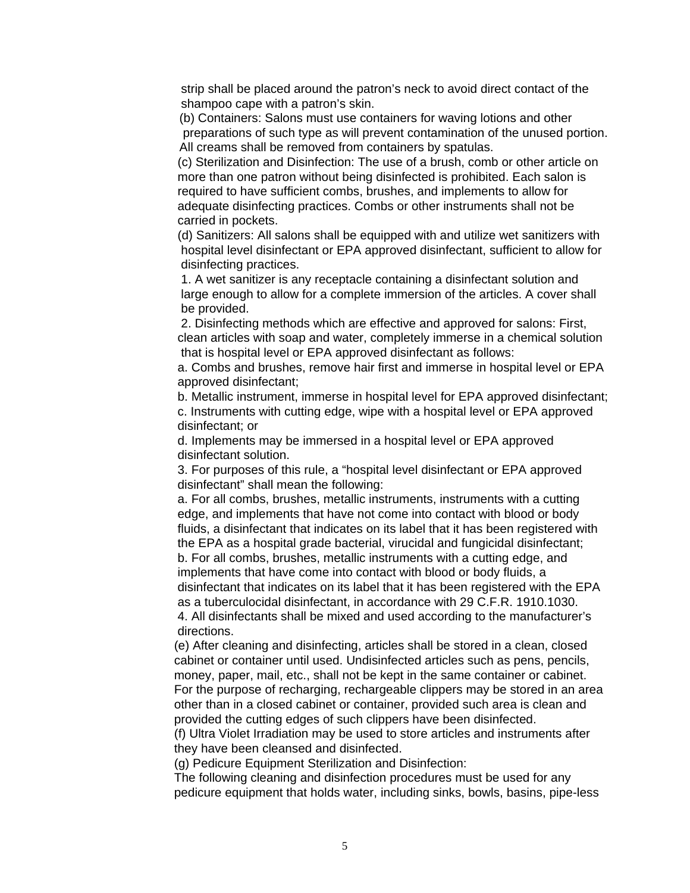strip shall be placed around the patron's neck to avoid direct contact of the shampoo cape with a patron's skin.

 (b) Containers: Salons must use containers for waving lotions and other preparations of such type as will prevent contamination of the unused portion. All creams shall be removed from containers by spatulas.

 (c) Sterilization and Disinfection: The use of a brush, comb or other article on more than one patron without being disinfected is prohibited. Each salon is required to have sufficient combs, brushes, and implements to allow for adequate disinfecting practices. Combs or other instruments shall not be carried in pockets.

 (d) Sanitizers: All salons shall be equipped with and utilize wet sanitizers with hospital level disinfectant or EPA approved disinfectant, sufficient to allow for disinfecting practices.

 1. A wet sanitizer is any receptacle containing a disinfectant solution and large enough to allow for a complete immersion of the articles. A cover shall be provided.

 2. Disinfecting methods which are effective and approved for salons: First, clean articles with soap and water, completely immerse in a chemical solution that is hospital level or EPA approved disinfectant as follows:

 a. Combs and brushes, remove hair first and immerse in hospital level or EPA approved disinfectant;

 b. Metallic instrument, immerse in hospital level for EPA approved disinfectant; c. Instruments with cutting edge, wipe with a hospital level or EPA approved disinfectant; or

 d. Implements may be immersed in a hospital level or EPA approved disinfectant solution.

 3. For purposes of this rule, a "hospital level disinfectant or EPA approved disinfectant" shall mean the following:

 a. For all combs, brushes, metallic instruments, instruments with a cutting edge, and implements that have not come into contact with blood or body fluids, a disinfectant that indicates on its label that it has been registered with the EPA as a hospital grade bacterial, virucidal and fungicidal disinfectant; b. For all combs, brushes, metallic instruments with a cutting edge, and implements that have come into contact with blood or body fluids, a disinfectant that indicates on its label that it has been registered with the EPA as a tuberculocidal disinfectant, in accordance with 29 C.F.R. 1910.1030. 4. All disinfectants shall be mixed and used according to the manufacturer's directions.

 (e) After cleaning and disinfecting, articles shall be stored in a clean, closed cabinet or container until used. Undisinfected articles such as pens, pencils, money, paper, mail, etc., shall not be kept in the same container or cabinet. For the purpose of recharging, rechargeable clippers may be stored in an area other than in a closed cabinet or container, provided such area is clean and provided the cutting edges of such clippers have been disinfected.

 (f) Ultra Violet Irradiation may be used to store articles and instruments after they have been cleansed and disinfected.

(g) Pedicure Equipment Sterilization and Disinfection:

 The following cleaning and disinfection procedures must be used for any pedicure equipment that holds water, including sinks, bowls, basins, pipe-less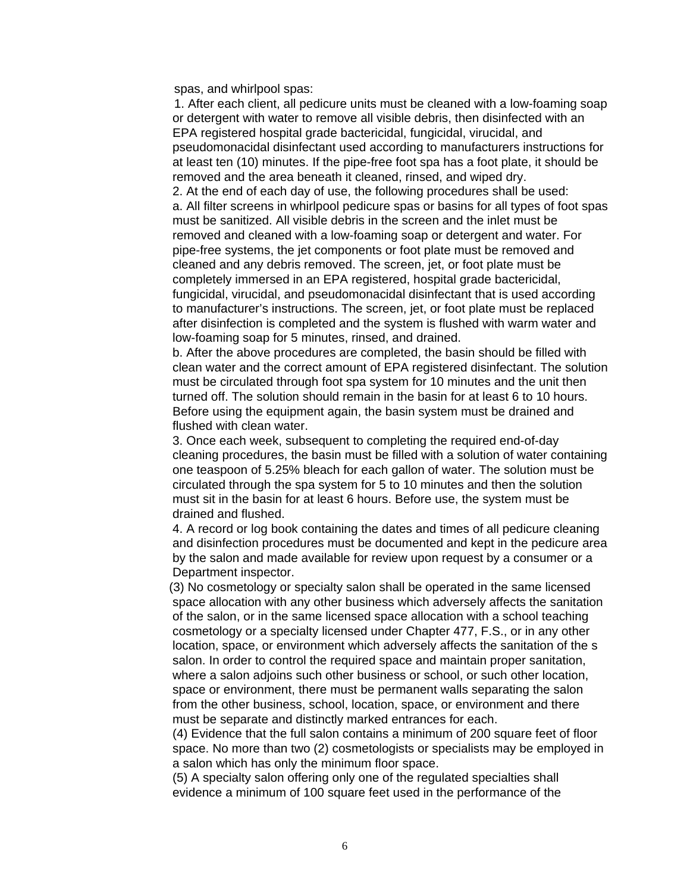spas, and whirlpool spas:

 1. After each client, all pedicure units must be cleaned with a low-foaming soap or detergent with water to remove all visible debris, then disinfected with an EPA registered hospital grade bactericidal, fungicidal, virucidal, and pseudomonacidal disinfectant used according to manufacturers instructions for at least ten (10) minutes. If the pipe-free foot spa has a foot plate, it should be removed and the area beneath it cleaned, rinsed, and wiped dry.

 2. At the end of each day of use, the following procedures shall be used: a. All filter screens in whirlpool pedicure spas or basins for all types of foot spas must be sanitized. All visible debris in the screen and the inlet must be removed and cleaned with a low-foaming soap or detergent and water. For pipe-free systems, the jet components or foot plate must be removed and cleaned and any debris removed. The screen, jet, or foot plate must be completely immersed in an EPA registered, hospital grade bactericidal, fungicidal, virucidal, and pseudomonacidal disinfectant that is used according to manufacturer's instructions. The screen, jet, or foot plate must be replaced after disinfection is completed and the system is flushed with warm water and low-foaming soap for 5 minutes, rinsed, and drained.

 b. After the above procedures are completed, the basin should be filled with clean water and the correct amount of EPA registered disinfectant. The solution must be circulated through foot spa system for 10 minutes and the unit then turned off. The solution should remain in the basin for at least 6 to 10 hours. Before using the equipment again, the basin system must be drained and flushed with clean water.

 3. Once each week, subsequent to completing the required end-of-day cleaning procedures, the basin must be filled with a solution of water containing one teaspoon of 5.25% bleach for each gallon of water. The solution must be circulated through the spa system for 5 to 10 minutes and then the solution must sit in the basin for at least 6 hours. Before use, the system must be drained and flushed.

 4. A record or log book containing the dates and times of all pedicure cleaning and disinfection procedures must be documented and kept in the pedicure area by the salon and made available for review upon request by a consumer or a Department inspector.

 (3) No cosmetology or specialty salon shall be operated in the same licensed space allocation with any other business which adversely affects the sanitation of the salon, or in the same licensed space allocation with a school teaching cosmetology or a specialty licensed under Chapter 477, F.S., or in any other location, space, or environment which adversely affects the sanitation of the s salon. In order to control the required space and maintain proper sanitation, where a salon adjoins such other business or school, or such other location, space or environment, there must be permanent walls separating the salon from the other business, school, location, space, or environment and there must be separate and distinctly marked entrances for each.

 (4) Evidence that the full salon contains a minimum of 200 square feet of floor space. No more than two (2) cosmetologists or specialists may be employed in a salon which has only the minimum floor space.

 (5) A specialty salon offering only one of the regulated specialties shall evidence a minimum of 100 square feet used in the performance of the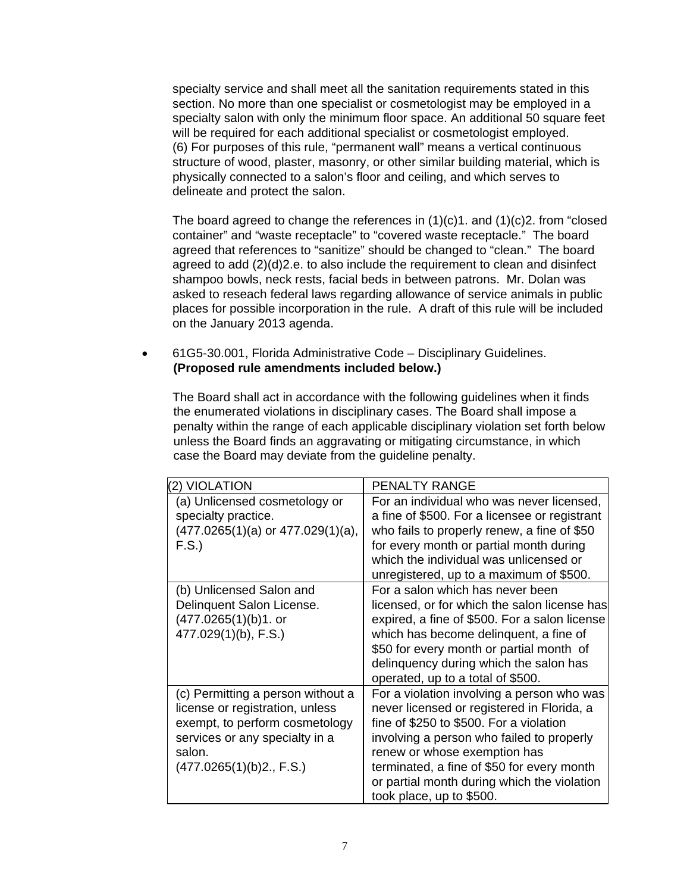specialty service and shall meet all the sanitation requirements stated in this section. No more than one specialist or cosmetologist may be employed in a specialty salon with only the minimum floor space. An additional 50 square feet will be required for each additional specialist or cosmetologist employed. (6) For purposes of this rule, "permanent wall" means a vertical continuous structure of wood, plaster, masonry, or other similar building material, which is physically connected to a salon's floor and ceiling, and which serves to delineate and protect the salon.

The board agreed to change the references in  $(1)(c)$ 1. and  $(1)(c)$ 2. from "closed" container" and "waste receptacle" to "covered waste receptacle." The board agreed that references to "sanitize" should be changed to "clean." The board agreed to add (2)(d)2.e. to also include the requirement to clean and disinfect shampoo bowls, neck rests, facial beds in between patrons. Mr. Dolan was asked to reseach federal laws regarding allowance of service animals in public places for possible incorporation in the rule. A draft of this rule will be included on the January 2013 agenda.

 61G5-30.001, Florida Administrative Code – Disciplinary Guidelines. **(Proposed rule amendments included below.)**

 The Board shall act in accordance with the following guidelines when it finds the enumerated violations in disciplinary cases. The Board shall impose a penalty within the range of each applicable disciplinary violation set forth below unless the Board finds an aggravating or mitigating circumstance, in which case the Board may deviate from the guideline penalty.

| (2) VIOLATION                                                                                                                                                                  | <b>PENALTY RANGE</b>                                                                                                                                                                                                                                                                                                                      |
|--------------------------------------------------------------------------------------------------------------------------------------------------------------------------------|-------------------------------------------------------------------------------------------------------------------------------------------------------------------------------------------------------------------------------------------------------------------------------------------------------------------------------------------|
| (a) Unlicensed cosmetology or<br>specialty practice.<br>$(477.0265(1)(a)$ or $477.029(1)(a)$ ,<br>F.S.                                                                         | For an individual who was never licensed,<br>a fine of \$500. For a licensee or registrant<br>who fails to properly renew, a fine of \$50<br>for every month or partial month during<br>which the individual was unlicensed or<br>unregistered, up to a maximum of \$500.                                                                 |
| (b) Unlicensed Salon and<br>Delinquent Salon License.<br>$(477.0265(1)(b)1.$ or<br>$477.029(1)(b)$ , F.S.)                                                                     | For a salon which has never been<br>licensed, or for which the salon license has<br>expired, a fine of \$500. For a salon license<br>which has become delinguent, a fine of<br>\$50 for every month or partial month of<br>delinquency during which the salon has<br>operated, up to a total of \$500.                                    |
| (c) Permitting a person without a<br>license or registration, unless<br>exempt, to perform cosmetology<br>services or any specialty in a<br>salon.<br>(477.0265(1)(b)2., F.S.) | For a violation involving a person who was<br>never licensed or registered in Florida, a<br>fine of \$250 to \$500. For a violation<br>involving a person who failed to properly<br>renew or whose exemption has<br>terminated, a fine of \$50 for every month<br>or partial month during which the violation<br>took place, up to \$500. |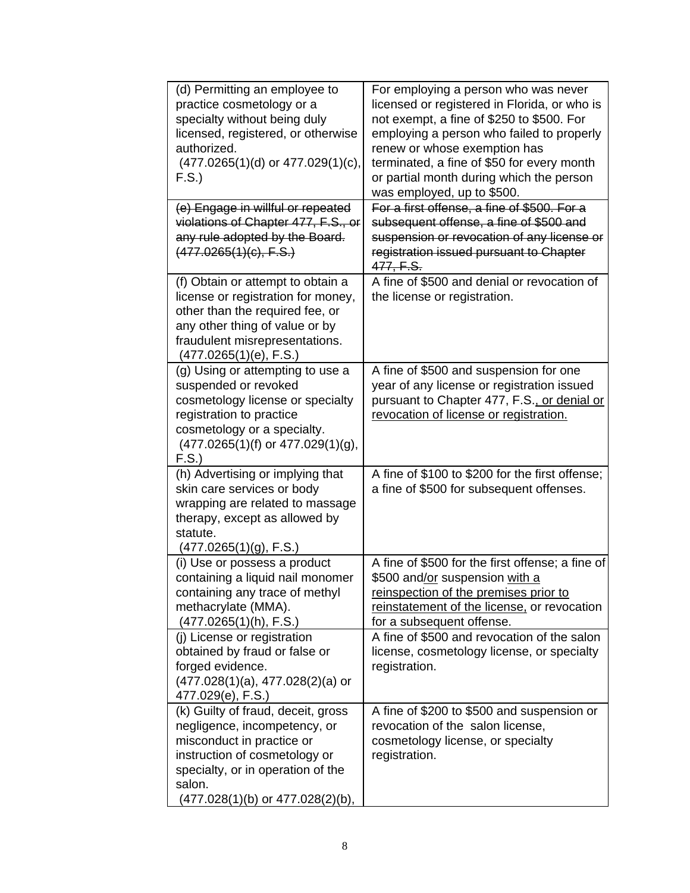| (d) Permitting an employee to<br>practice cosmetology or a<br>specialty without being duly<br>licensed, registered, or otherwise<br>authorized.<br>$(477.0265(1)(d)$ or $477.029(1)(c)$ ,<br>F.S.                                                                                                  | For employing a person who was never<br>licensed or registered in Florida, or who is<br>not exempt, a fine of \$250 to \$500. For<br>employing a person who failed to properly<br>renew or whose exemption has<br>terminated, a fine of \$50 for every month<br>or partial month during which the person<br>was employed, up to \$500. |
|----------------------------------------------------------------------------------------------------------------------------------------------------------------------------------------------------------------------------------------------------------------------------------------------------|----------------------------------------------------------------------------------------------------------------------------------------------------------------------------------------------------------------------------------------------------------------------------------------------------------------------------------------|
| (e) Engage in willful or repeated<br>violations of Chapter 477, F.S., or<br>any rule adopted by the Board.<br>(477.0265(1)(c), F.S.)                                                                                                                                                               | For a first offense, a fine of \$500. For a<br>subsequent offense, a fine of \$500 and<br>suspension or revocation of any license or<br>registration issued pursuant to Chapter<br>477, F.S.                                                                                                                                           |
| (f) Obtain or attempt to obtain a<br>license or registration for money,<br>other than the required fee, or<br>any other thing of value or by<br>fraudulent misrepresentations.<br>(477.0265(1)(e), F.S.)                                                                                           | A fine of \$500 and denial or revocation of<br>the license or registration.                                                                                                                                                                                                                                                            |
| (g) Using or attempting to use a<br>suspended or revoked<br>cosmetology license or specialty<br>registration to practice<br>cosmetology or a specialty.<br>$(477.0265(1)(f)$ or $477.029(1)(g)$ ,<br>F.S.                                                                                          | A fine of \$500 and suspension for one<br>year of any license or registration issued<br>pursuant to Chapter 477, F.S., or denial or<br>revocation of license or registration.                                                                                                                                                          |
| (h) Advertising or implying that<br>skin care services or body<br>wrapping are related to massage<br>therapy, except as allowed by<br>statute.<br>(477.0265(1)(g), F.S.)                                                                                                                           | A fine of \$100 to \$200 for the first offense;<br>a fine of \$500 for subsequent offenses.                                                                                                                                                                                                                                            |
| (i) Use or possess a product<br>containing a liquid nail monomer<br>containing any trace of methyl<br>methacrylate (MMA).<br>(477.0265(1)(h), F.S.)<br>(i) License or registration<br>obtained by fraud or false or<br>forged evidence.<br>$(477.028(1)(a), 477.028(2)(a)$ or<br>477.029(e), F.S.) | A fine of \$500 for the first offense; a fine of<br>\$500 and/or suspension with a<br>reinspection of the premises prior to<br>reinstatement of the license, or revocation<br>for a subsequent offense.<br>A fine of \$500 and revocation of the salon<br>license, cosmetology license, or specialty<br>registration.                  |
| (k) Guilty of fraud, deceit, gross<br>negligence, incompetency, or<br>misconduct in practice or<br>instruction of cosmetology or<br>specialty, or in operation of the<br>salon.<br>(477.028(1)(b) or 477.028(2)(b),                                                                                | A fine of \$200 to \$500 and suspension or<br>revocation of the salon license,<br>cosmetology license, or specialty<br>registration.                                                                                                                                                                                                   |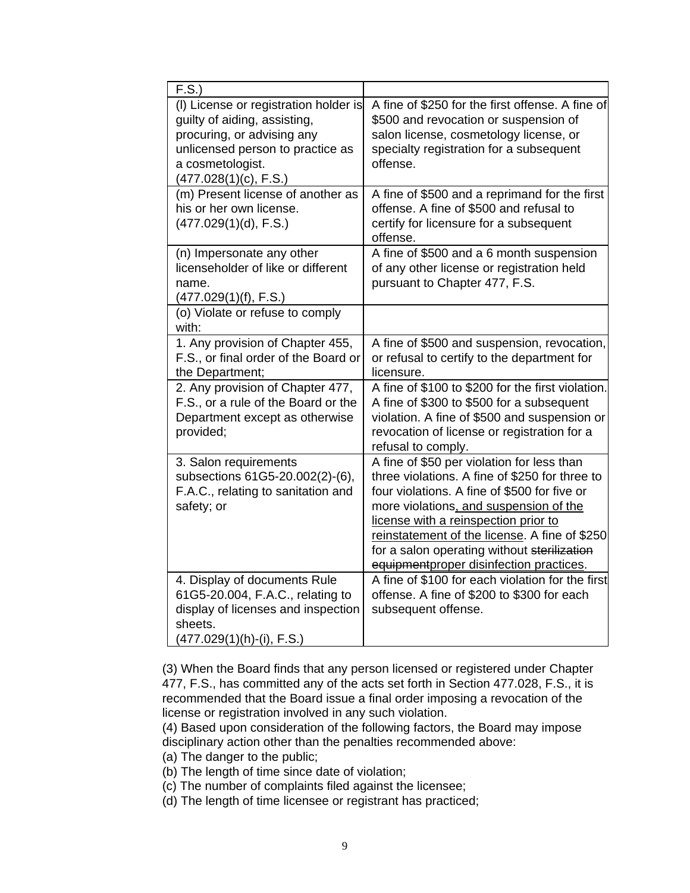| F.S.                                                                                                                                                                                 |                                                                                                                                                                                                                                                                                                                                                                           |
|--------------------------------------------------------------------------------------------------------------------------------------------------------------------------------------|---------------------------------------------------------------------------------------------------------------------------------------------------------------------------------------------------------------------------------------------------------------------------------------------------------------------------------------------------------------------------|
| (I) License or registration holder is<br>guilty of aiding, assisting,<br>procuring, or advising any<br>unlicensed person to practice as<br>a cosmetologist.<br>(477.028(1)(c), F.S.) | A fine of \$250 for the first offense. A fine of<br>\$500 and revocation or suspension of<br>salon license, cosmetology license, or<br>specialty registration for a subsequent<br>offense.                                                                                                                                                                                |
| (m) Present license of another as<br>his or her own license.<br>(477.029(1)(d), F.S.)                                                                                                | A fine of \$500 and a reprimand for the first<br>offense. A fine of \$500 and refusal to<br>certify for licensure for a subsequent<br>offense.                                                                                                                                                                                                                            |
| (n) Impersonate any other<br>licenseholder of like or different<br>name.<br>(477.029(1)(f), F.S.)                                                                                    | A fine of \$500 and a 6 month suspension<br>of any other license or registration held<br>pursuant to Chapter 477, F.S.                                                                                                                                                                                                                                                    |
| (o) Violate or refuse to comply<br>with:                                                                                                                                             |                                                                                                                                                                                                                                                                                                                                                                           |
| 1. Any provision of Chapter 455,<br>F.S., or final order of the Board or<br>the Department;                                                                                          | A fine of \$500 and suspension, revocation,<br>or refusal to certify to the department for<br>licensure.                                                                                                                                                                                                                                                                  |
| 2. Any provision of Chapter 477,<br>F.S., or a rule of the Board or the<br>Department except as otherwise<br>provided;                                                               | A fine of \$100 to \$200 for the first violation.<br>A fine of \$300 to \$500 for a subsequent<br>violation. A fine of \$500 and suspension or<br>revocation of license or registration for a<br>refusal to comply.                                                                                                                                                       |
| 3. Salon requirements<br>subsections 61G5-20.002(2)-(6),<br>F.A.C., relating to sanitation and<br>safety; or                                                                         | A fine of \$50 per violation for less than<br>three violations. A fine of \$250 for three to<br>four violations. A fine of \$500 for five or<br>more violations, and suspension of the<br>license with a reinspection prior to<br>reinstatement of the license. A fine of \$250<br>for a salon operating without sterilization<br>equipmentproper disinfection practices. |
| 4. Display of documents Rule<br>61G5-20.004, F.A.C., relating to<br>display of licenses and inspection<br>sheets.<br>(477.029(1)(h)-(i), F.S.)                                       | A fine of \$100 for each violation for the first<br>offense. A fine of \$200 to \$300 for each<br>subsequent offense.                                                                                                                                                                                                                                                     |

 (3) When the Board finds that any person licensed or registered under Chapter 477, F.S., has committed any of the acts set forth in Section 477.028, F.S., it is recommended that the Board issue a final order imposing a revocation of the license or registration involved in any such violation.

 (4) Based upon consideration of the following factors, the Board may impose disciplinary action other than the penalties recommended above:

(a) The danger to the public;

(b) The length of time since date of violation;

(c) The number of complaints filed against the licensee;

(d) The length of time licensee or registrant has practiced;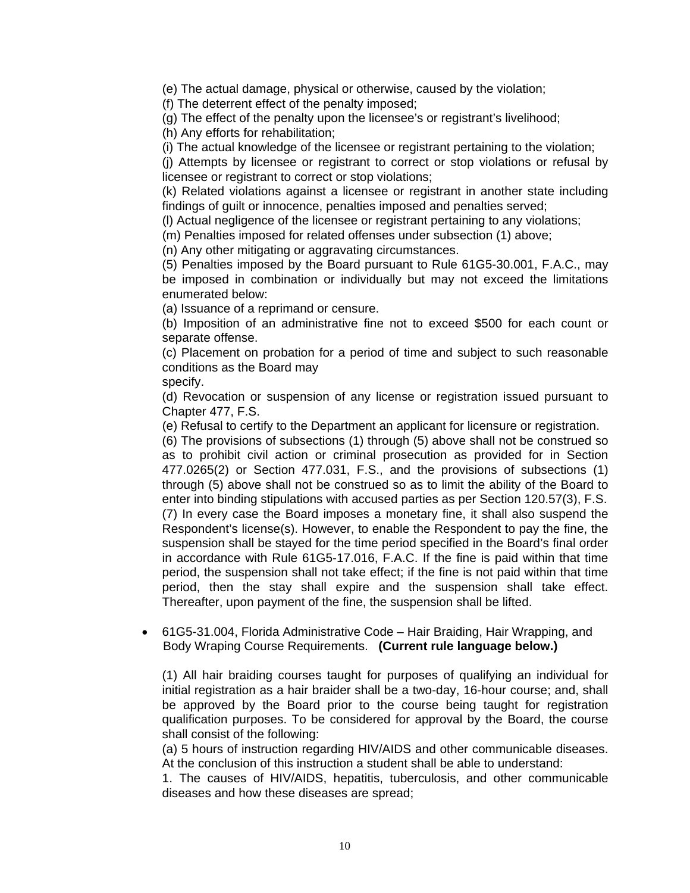(e) The actual damage, physical or otherwise, caused by the violation;

(f) The deterrent effect of the penalty imposed;

(g) The effect of the penalty upon the licensee's or registrant's livelihood;

(h) Any efforts for rehabilitation;

(i) The actual knowledge of the licensee or registrant pertaining to the violation;

(j) Attempts by licensee or registrant to correct or stop violations or refusal by licensee or registrant to correct or stop violations;

(k) Related violations against a licensee or registrant in another state including findings of guilt or innocence, penalties imposed and penalties served;

(l) Actual negligence of the licensee or registrant pertaining to any violations;

(m) Penalties imposed for related offenses under subsection (1) above;

(n) Any other mitigating or aggravating circumstances.

(5) Penalties imposed by the Board pursuant to Rule 61G5-30.001, F.A.C., may be imposed in combination or individually but may not exceed the limitations enumerated below:

(a) Issuance of a reprimand or censure.

(b) Imposition of an administrative fine not to exceed \$500 for each count or separate offense.

(c) Placement on probation for a period of time and subject to such reasonable conditions as the Board may

#### specify.

(d) Revocation or suspension of any license or registration issued pursuant to Chapter 477, F.S.

(e) Refusal to certify to the Department an applicant for licensure or registration.

(6) The provisions of subsections (1) through (5) above shall not be construed so as to prohibit civil action or criminal prosecution as provided for in Section 477.0265(2) or Section 477.031, F.S., and the provisions of subsections (1) through (5) above shall not be construed so as to limit the ability of the Board to enter into binding stipulations with accused parties as per Section 120.57(3), F.S. (7) In every case the Board imposes a monetary fine, it shall also suspend the Respondent's license(s). However, to enable the Respondent to pay the fine, the suspension shall be stayed for the time period specified in the Board's final order in accordance with Rule 61G5-17.016, F.A.C. If the fine is paid within that time period, the suspension shall not take effect; if the fine is not paid within that time period, then the stay shall expire and the suspension shall take effect. Thereafter, upon payment of the fine, the suspension shall be lifted.

 61G5-31.004, Florida Administrative Code – Hair Braiding, Hair Wrapping, and Body Wraping Course Requirements. **(Current rule language below.)** 

(1) All hair braiding courses taught for purposes of qualifying an individual for initial registration as a hair braider shall be a two-day, 16-hour course; and, shall be approved by the Board prior to the course being taught for registration qualification purposes. To be considered for approval by the Board, the course shall consist of the following:

(a) 5 hours of instruction regarding HIV/AIDS and other communicable diseases. At the conclusion of this instruction a student shall be able to understand:

1. The causes of HIV/AIDS, hepatitis, tuberculosis, and other communicable diseases and how these diseases are spread;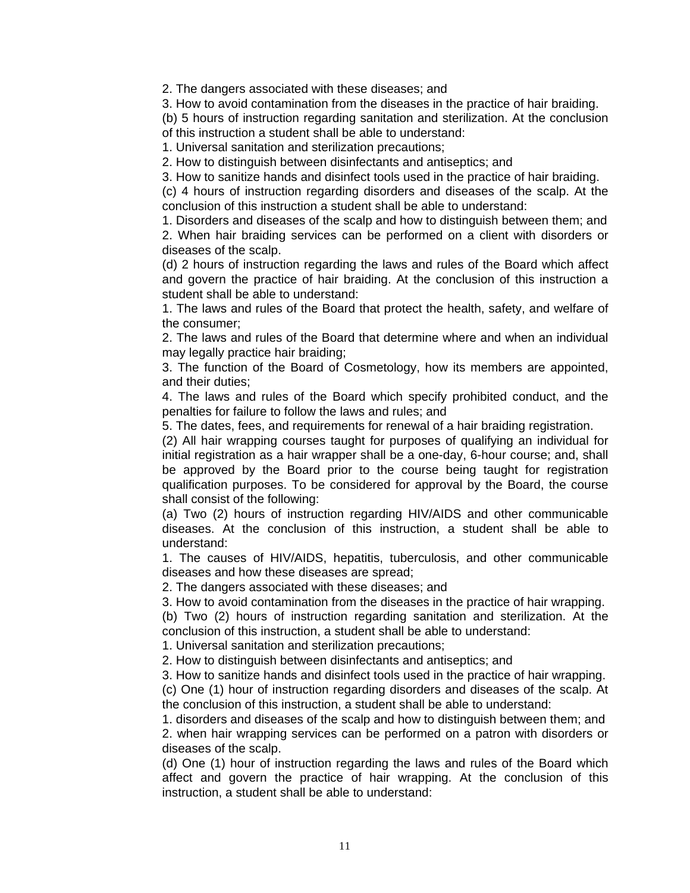2. The dangers associated with these diseases; and

3. How to avoid contamination from the diseases in the practice of hair braiding.

(b) 5 hours of instruction regarding sanitation and sterilization. At the conclusion of this instruction a student shall be able to understand:

1. Universal sanitation and sterilization precautions;

2. How to distinguish between disinfectants and antiseptics; and

3. How to sanitize hands and disinfect tools used in the practice of hair braiding.

(c) 4 hours of instruction regarding disorders and diseases of the scalp. At the conclusion of this instruction a student shall be able to understand:

1. Disorders and diseases of the scalp and how to distinguish between them; and

2. When hair braiding services can be performed on a client with disorders or diseases of the scalp.

(d) 2 hours of instruction regarding the laws and rules of the Board which affect and govern the practice of hair braiding. At the conclusion of this instruction a student shall be able to understand:

1. The laws and rules of the Board that protect the health, safety, and welfare of the consumer;

2. The laws and rules of the Board that determine where and when an individual may legally practice hair braiding;

3. The function of the Board of Cosmetology, how its members are appointed, and their duties;

4. The laws and rules of the Board which specify prohibited conduct, and the penalties for failure to follow the laws and rules; and

5. The dates, fees, and requirements for renewal of a hair braiding registration.

(2) All hair wrapping courses taught for purposes of qualifying an individual for initial registration as a hair wrapper shall be a one-day, 6-hour course; and, shall be approved by the Board prior to the course being taught for registration qualification purposes. To be considered for approval by the Board, the course shall consist of the following:

(a) Two (2) hours of instruction regarding HIV/AIDS and other communicable diseases. At the conclusion of this instruction, a student shall be able to understand:

1. The causes of HIV/AIDS, hepatitis, tuberculosis, and other communicable diseases and how these diseases are spread;

2. The dangers associated with these diseases; and

3. How to avoid contamination from the diseases in the practice of hair wrapping.

(b) Two (2) hours of instruction regarding sanitation and sterilization. At the conclusion of this instruction, a student shall be able to understand:

1. Universal sanitation and sterilization precautions;

2. How to distinguish between disinfectants and antiseptics; and

3. How to sanitize hands and disinfect tools used in the practice of hair wrapping.

(c) One (1) hour of instruction regarding disorders and diseases of the scalp. At the conclusion of this instruction, a student shall be able to understand:

1. disorders and diseases of the scalp and how to distinguish between them; and 2. when hair wrapping services can be performed on a patron with disorders or diseases of the scalp.

(d) One (1) hour of instruction regarding the laws and rules of the Board which affect and govern the practice of hair wrapping. At the conclusion of this instruction, a student shall be able to understand: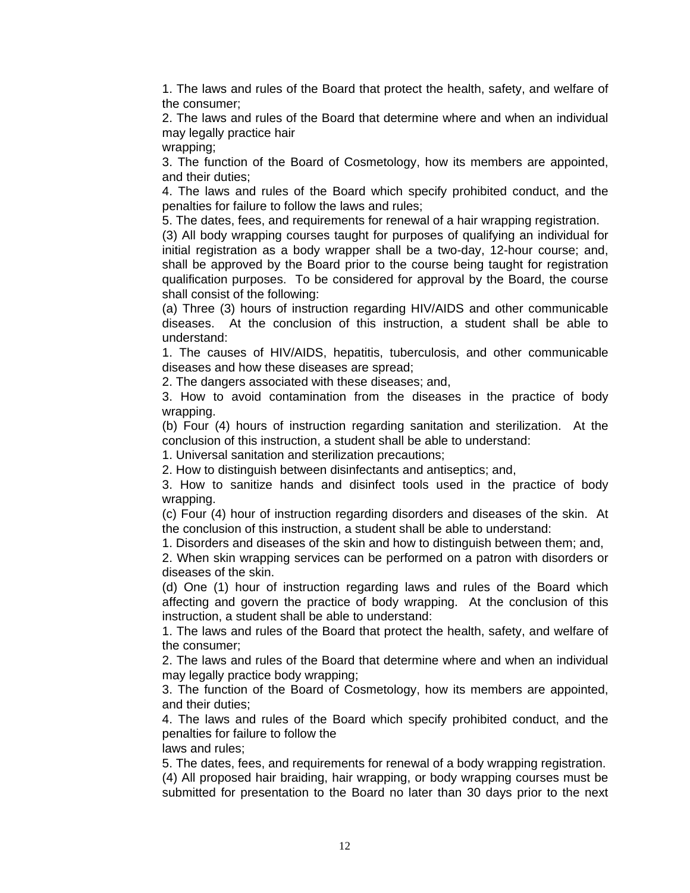1. The laws and rules of the Board that protect the health, safety, and welfare of the consumer;

2. The laws and rules of the Board that determine where and when an individual may legally practice hair

wrapping;

3. The function of the Board of Cosmetology, how its members are appointed, and their duties;

4. The laws and rules of the Board which specify prohibited conduct, and the penalties for failure to follow the laws and rules;

5. The dates, fees, and requirements for renewal of a hair wrapping registration.

(3) All body wrapping courses taught for purposes of qualifying an individual for initial registration as a body wrapper shall be a two-day, 12-hour course; and, shall be approved by the Board prior to the course being taught for registration qualification purposes. To be considered for approval by the Board, the course shall consist of the following:

(a) Three (3) hours of instruction regarding HIV/AIDS and other communicable diseases. At the conclusion of this instruction, a student shall be able to understand:

1. The causes of HIV/AIDS, hepatitis, tuberculosis, and other communicable diseases and how these diseases are spread;

2. The dangers associated with these diseases; and,

3. How to avoid contamination from the diseases in the practice of body wrapping.

(b) Four (4) hours of instruction regarding sanitation and sterilization. At the conclusion of this instruction, a student shall be able to understand:

1. Universal sanitation and sterilization precautions;

2. How to distinguish between disinfectants and antiseptics; and,

3. How to sanitize hands and disinfect tools used in the practice of body wrapping.

(c) Four (4) hour of instruction regarding disorders and diseases of the skin. At the conclusion of this instruction, a student shall be able to understand:

1. Disorders and diseases of the skin and how to distinguish between them; and,

2. When skin wrapping services can be performed on a patron with disorders or diseases of the skin.

(d) One (1) hour of instruction regarding laws and rules of the Board which affecting and govern the practice of body wrapping. At the conclusion of this instruction, a student shall be able to understand:

1. The laws and rules of the Board that protect the health, safety, and welfare of the consumer;

2. The laws and rules of the Board that determine where and when an individual may legally practice body wrapping;

3. The function of the Board of Cosmetology, how its members are appointed, and their duties;

4. The laws and rules of the Board which specify prohibited conduct, and the penalties for failure to follow the

laws and rules;

5. The dates, fees, and requirements for renewal of a body wrapping registration. (4) All proposed hair braiding, hair wrapping, or body wrapping courses must be submitted for presentation to the Board no later than 30 days prior to the next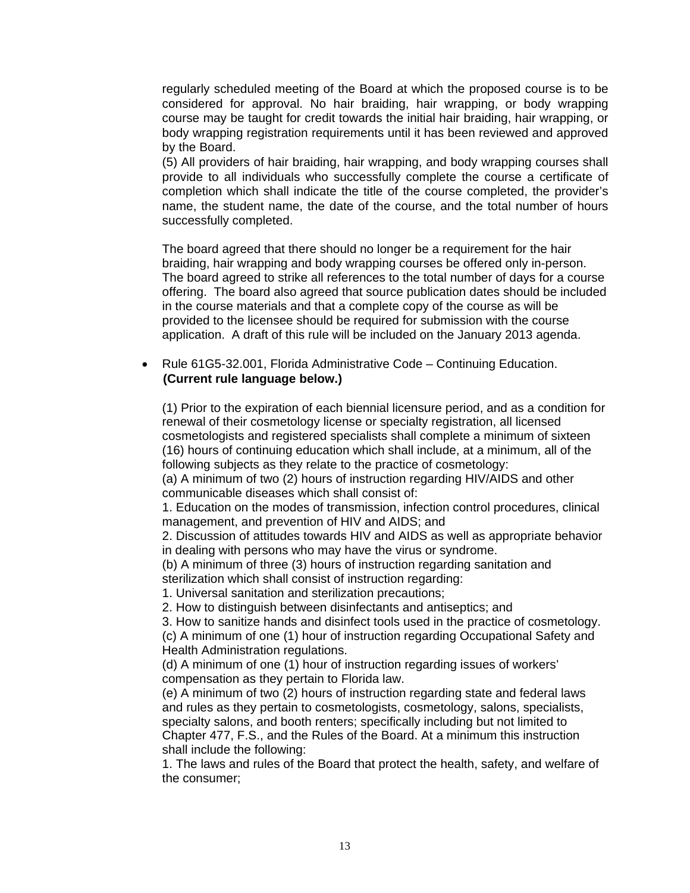regularly scheduled meeting of the Board at which the proposed course is to be considered for approval. No hair braiding, hair wrapping, or body wrapping course may be taught for credit towards the initial hair braiding, hair wrapping, or body wrapping registration requirements until it has been reviewed and approved by the Board.

(5) All providers of hair braiding, hair wrapping, and body wrapping courses shall provide to all individuals who successfully complete the course a certificate of completion which shall indicate the title of the course completed, the provider's name, the student name, the date of the course, and the total number of hours successfully completed.

The board agreed that there should no longer be a requirement for the hair braiding, hair wrapping and body wrapping courses be offered only in-person. The board agreed to strike all references to the total number of days for a course offering. The board also agreed that source publication dates should be included in the course materials and that a complete copy of the course as will be provided to the licensee should be required for submission with the course application. A draft of this rule will be included on the January 2013 agenda.

#### Rule 61G5-32.001, Florida Administrative Code – Continuing Education. **(Current rule language below.)**

(1) Prior to the expiration of each biennial licensure period, and as a condition for renewal of their cosmetology license or specialty registration, all licensed cosmetologists and registered specialists shall complete a minimum of sixteen (16) hours of continuing education which shall include, at a minimum, all of the following subjects as they relate to the practice of cosmetology:

(a) A minimum of two (2) hours of instruction regarding HIV/AIDS and other communicable diseases which shall consist of:

1. Education on the modes of transmission, infection control procedures, clinical management, and prevention of HIV and AIDS; and

2. Discussion of attitudes towards HIV and AIDS as well as appropriate behavior in dealing with persons who may have the virus or syndrome.

(b) A minimum of three (3) hours of instruction regarding sanitation and sterilization which shall consist of instruction regarding:

1. Universal sanitation and sterilization precautions;

2. How to distinguish between disinfectants and antiseptics; and

3. How to sanitize hands and disinfect tools used in the practice of cosmetology.

(c) A minimum of one (1) hour of instruction regarding Occupational Safety and Health Administration regulations.

(d) A minimum of one (1) hour of instruction regarding issues of workers' compensation as they pertain to Florida law.

(e) A minimum of two (2) hours of instruction regarding state and federal laws and rules as they pertain to cosmetologists, cosmetology, salons, specialists, specialty salons, and booth renters; specifically including but not limited to Chapter 477, F.S., and the Rules of the Board. At a minimum this instruction shall include the following:

1. The laws and rules of the Board that protect the health, safety, and welfare of the consumer;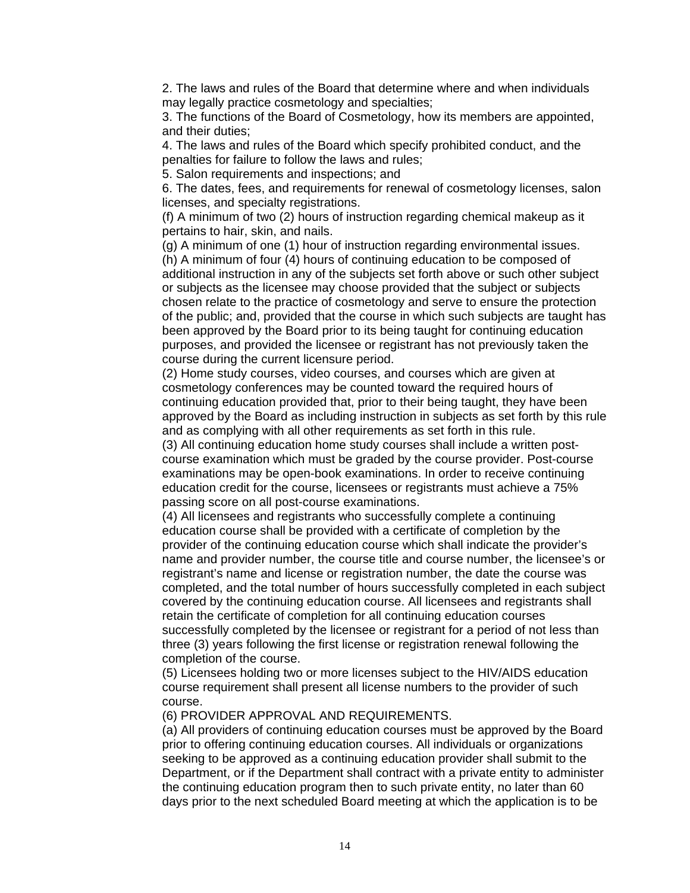2. The laws and rules of the Board that determine where and when individuals may legally practice cosmetology and specialties;

3. The functions of the Board of Cosmetology, how its members are appointed, and their duties;

4. The laws and rules of the Board which specify prohibited conduct, and the penalties for failure to follow the laws and rules;

5. Salon requirements and inspections; and

6. The dates, fees, and requirements for renewal of cosmetology licenses, salon licenses, and specialty registrations.

(f) A minimum of two (2) hours of instruction regarding chemical makeup as it pertains to hair, skin, and nails.

(g) A minimum of one (1) hour of instruction regarding environmental issues. (h) A minimum of four (4) hours of continuing education to be composed of additional instruction in any of the subjects set forth above or such other subject or subjects as the licensee may choose provided that the subject or subjects chosen relate to the practice of cosmetology and serve to ensure the protection of the public; and, provided that the course in which such subjects are taught has been approved by the Board prior to its being taught for continuing education purposes, and provided the licensee or registrant has not previously taken the course during the current licensure period.

(2) Home study courses, video courses, and courses which are given at cosmetology conferences may be counted toward the required hours of continuing education provided that, prior to their being taught, they have been approved by the Board as including instruction in subjects as set forth by this rule and as complying with all other requirements as set forth in this rule.

(3) All continuing education home study courses shall include a written postcourse examination which must be graded by the course provider. Post-course examinations may be open-book examinations. In order to receive continuing education credit for the course, licensees or registrants must achieve a 75% passing score on all post-course examinations.

(4) All licensees and registrants who successfully complete a continuing education course shall be provided with a certificate of completion by the provider of the continuing education course which shall indicate the provider's name and provider number, the course title and course number, the licensee's or registrant's name and license or registration number, the date the course was completed, and the total number of hours successfully completed in each subject covered by the continuing education course. All licensees and registrants shall retain the certificate of completion for all continuing education courses successfully completed by the licensee or registrant for a period of not less than three (3) years following the first license or registration renewal following the completion of the course.

(5) Licensees holding two or more licenses subject to the HIV/AIDS education course requirement shall present all license numbers to the provider of such course.

(6) PROVIDER APPROVAL AND REQUIREMENTS.

(a) All providers of continuing education courses must be approved by the Board prior to offering continuing education courses. All individuals or organizations seeking to be approved as a continuing education provider shall submit to the Department, or if the Department shall contract with a private entity to administer the continuing education program then to such private entity, no later than 60 days prior to the next scheduled Board meeting at which the application is to be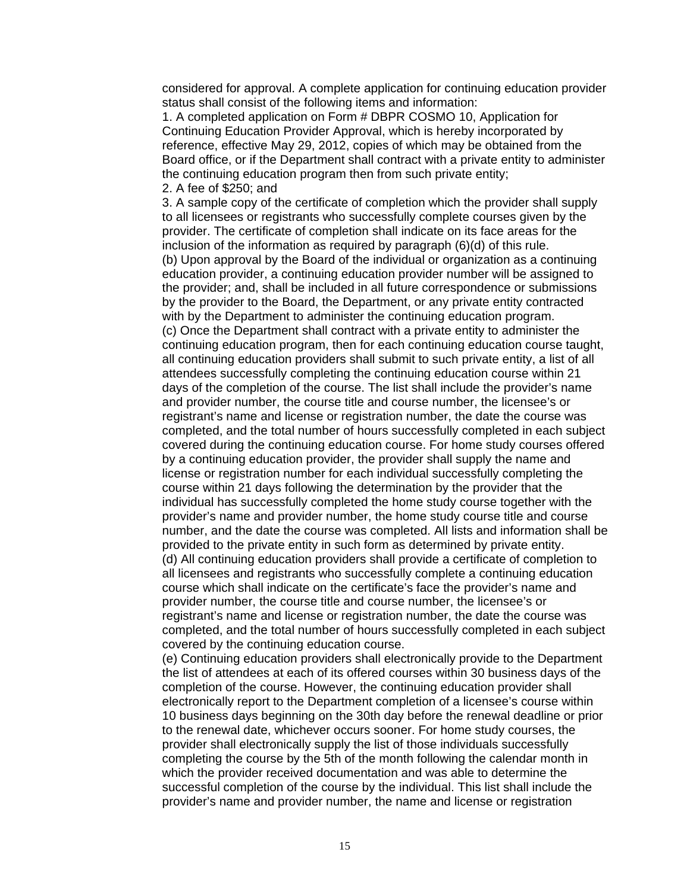considered for approval. A complete application for continuing education provider status shall consist of the following items and information:

1. A completed application on Form # DBPR COSMO 10, Application for Continuing Education Provider Approval, which is hereby incorporated by reference, effective May 29, 2012, copies of which may be obtained from the Board office, or if the Department shall contract with a private entity to administer the continuing education program then from such private entity; 2. A fee of \$250; and

#### 3. A sample copy of the certificate of completion which the provider shall supply to all licensees or registrants who successfully complete courses given by the provider. The certificate of completion shall indicate on its face areas for the inclusion of the information as required by paragraph (6)(d) of this rule. (b) Upon approval by the Board of the individual or organization as a continuing education provider, a continuing education provider number will be assigned to the provider; and, shall be included in all future correspondence or submissions by the provider to the Board, the Department, or any private entity contracted with by the Department to administer the continuing education program. (c) Once the Department shall contract with a private entity to administer the continuing education program, then for each continuing education course taught, all continuing education providers shall submit to such private entity, a list of all

attendees successfully completing the continuing education course within 21

days of the completion of the course. The list shall include the provider's name and provider number, the course title and course number, the licensee's or registrant's name and license or registration number, the date the course was completed, and the total number of hours successfully completed in each subject covered during the continuing education course. For home study courses offered by a continuing education provider, the provider shall supply the name and license or registration number for each individual successfully completing the course within 21 days following the determination by the provider that the individual has successfully completed the home study course together with the provider's name and provider number, the home study course title and course number, and the date the course was completed. All lists and information shall be provided to the private entity in such form as determined by private entity. (d) All continuing education providers shall provide a certificate of completion to all licensees and registrants who successfully complete a continuing education course which shall indicate on the certificate's face the provider's name and provider number, the course title and course number, the licensee's or registrant's name and license or registration number, the date the course was completed, and the total number of hours successfully completed in each subject

(e) Continuing education providers shall electronically provide to the Department the list of attendees at each of its offered courses within 30 business days of the completion of the course. However, the continuing education provider shall electronically report to the Department completion of a licensee's course within 10 business days beginning on the 30th day before the renewal deadline or prior to the renewal date, whichever occurs sooner. For home study courses, the provider shall electronically supply the list of those individuals successfully completing the course by the 5th of the month following the calendar month in which the provider received documentation and was able to determine the successful completion of the course by the individual. This list shall include the provider's name and provider number, the name and license or registration

covered by the continuing education course.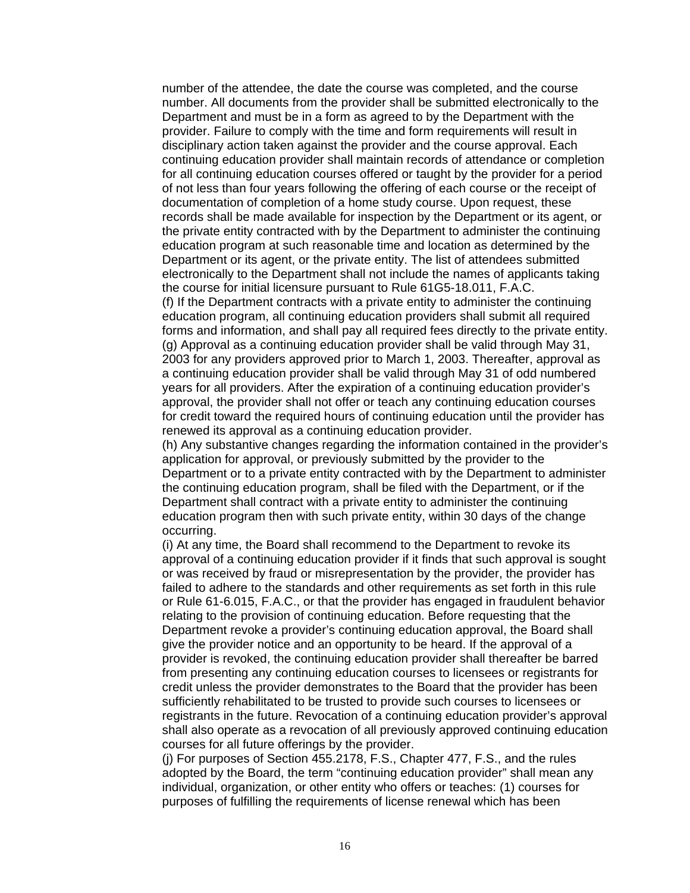number of the attendee, the date the course was completed, and the course number. All documents from the provider shall be submitted electronically to the Department and must be in a form as agreed to by the Department with the provider. Failure to comply with the time and form requirements will result in disciplinary action taken against the provider and the course approval. Each continuing education provider shall maintain records of attendance or completion for all continuing education courses offered or taught by the provider for a period of not less than four years following the offering of each course or the receipt of documentation of completion of a home study course. Upon request, these records shall be made available for inspection by the Department or its agent, or the private entity contracted with by the Department to administer the continuing education program at such reasonable time and location as determined by the Department or its agent, or the private entity. The list of attendees submitted electronically to the Department shall not include the names of applicants taking the course for initial licensure pursuant to Rule 61G5-18.011, F.A.C.

(f) If the Department contracts with a private entity to administer the continuing education program, all continuing education providers shall submit all required forms and information, and shall pay all required fees directly to the private entity. (g) Approval as a continuing education provider shall be valid through May 31, 2003 for any providers approved prior to March 1, 2003. Thereafter, approval as a continuing education provider shall be valid through May 31 of odd numbered years for all providers. After the expiration of a continuing education provider's approval, the provider shall not offer or teach any continuing education courses for credit toward the required hours of continuing education until the provider has renewed its approval as a continuing education provider.

(h) Any substantive changes regarding the information contained in the provider's application for approval, or previously submitted by the provider to the Department or to a private entity contracted with by the Department to administer the continuing education program, shall be filed with the Department, or if the Department shall contract with a private entity to administer the continuing education program then with such private entity, within 30 days of the change occurring.

(i) At any time, the Board shall recommend to the Department to revoke its approval of a continuing education provider if it finds that such approval is sought or was received by fraud or misrepresentation by the provider, the provider has failed to adhere to the standards and other requirements as set forth in this rule or Rule 61-6.015, F.A.C., or that the provider has engaged in fraudulent behavior relating to the provision of continuing education. Before requesting that the Department revoke a provider's continuing education approval, the Board shall give the provider notice and an opportunity to be heard. If the approval of a provider is revoked, the continuing education provider shall thereafter be barred from presenting any continuing education courses to licensees or registrants for credit unless the provider demonstrates to the Board that the provider has been sufficiently rehabilitated to be trusted to provide such courses to licensees or registrants in the future. Revocation of a continuing education provider's approval shall also operate as a revocation of all previously approved continuing education courses for all future offerings by the provider.

(j) For purposes of Section 455.2178, F.S., Chapter 477, F.S., and the rules adopted by the Board, the term "continuing education provider" shall mean any individual, organization, or other entity who offers or teaches: (1) courses for purposes of fulfilling the requirements of license renewal which has been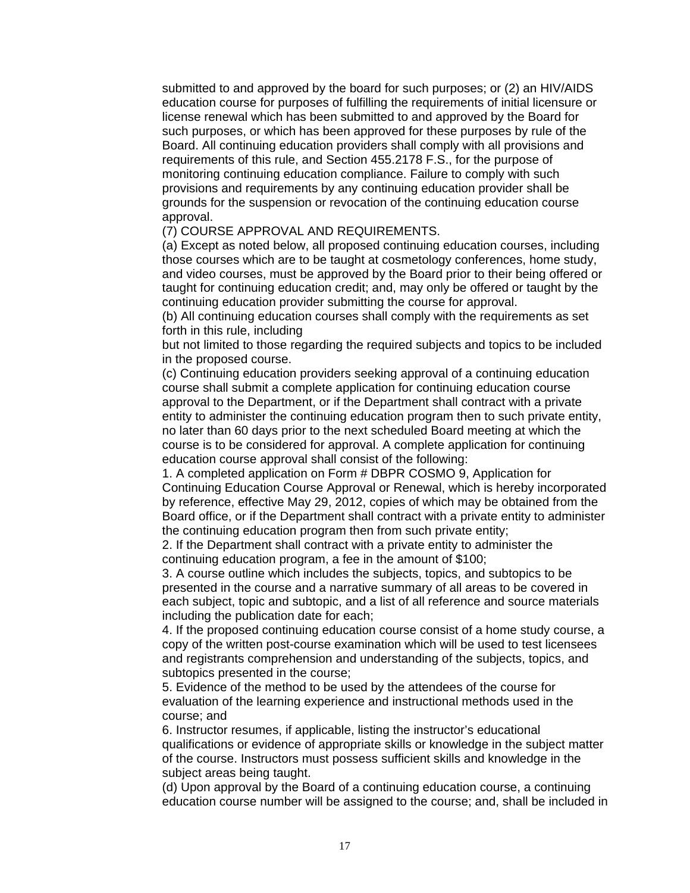submitted to and approved by the board for such purposes; or (2) an HIV/AIDS education course for purposes of fulfilling the requirements of initial licensure or license renewal which has been submitted to and approved by the Board for such purposes, or which has been approved for these purposes by rule of the Board. All continuing education providers shall comply with all provisions and requirements of this rule, and Section 455.2178 F.S., for the purpose of monitoring continuing education compliance. Failure to comply with such provisions and requirements by any continuing education provider shall be grounds for the suspension or revocation of the continuing education course approval.

(7) COURSE APPROVAL AND REQUIREMENTS.

(a) Except as noted below, all proposed continuing education courses, including those courses which are to be taught at cosmetology conferences, home study, and video courses, must be approved by the Board prior to their being offered or taught for continuing education credit; and, may only be offered or taught by the continuing education provider submitting the course for approval.

(b) All continuing education courses shall comply with the requirements as set forth in this rule, including

but not limited to those regarding the required subjects and topics to be included in the proposed course.

(c) Continuing education providers seeking approval of a continuing education course shall submit a complete application for continuing education course approval to the Department, or if the Department shall contract with a private entity to administer the continuing education program then to such private entity, no later than 60 days prior to the next scheduled Board meeting at which the course is to be considered for approval. A complete application for continuing education course approval shall consist of the following:

1. A completed application on Form # DBPR COSMO 9, Application for Continuing Education Course Approval or Renewal, which is hereby incorporated by reference, effective May 29, 2012, copies of which may be obtained from the Board office, or if the Department shall contract with a private entity to administer the continuing education program then from such private entity;

2. If the Department shall contract with a private entity to administer the continuing education program, a fee in the amount of \$100;

3. A course outline which includes the subjects, topics, and subtopics to be presented in the course and a narrative summary of all areas to be covered in each subject, topic and subtopic, and a list of all reference and source materials including the publication date for each;

4. If the proposed continuing education course consist of a home study course, a copy of the written post-course examination which will be used to test licensees and registrants comprehension and understanding of the subjects, topics, and subtopics presented in the course;

5. Evidence of the method to be used by the attendees of the course for evaluation of the learning experience and instructional methods used in the course; and

6. Instructor resumes, if applicable, listing the instructor's educational qualifications or evidence of appropriate skills or knowledge in the subject matter of the course. Instructors must possess sufficient skills and knowledge in the subject areas being taught.

(d) Upon approval by the Board of a continuing education course, a continuing education course number will be assigned to the course; and, shall be included in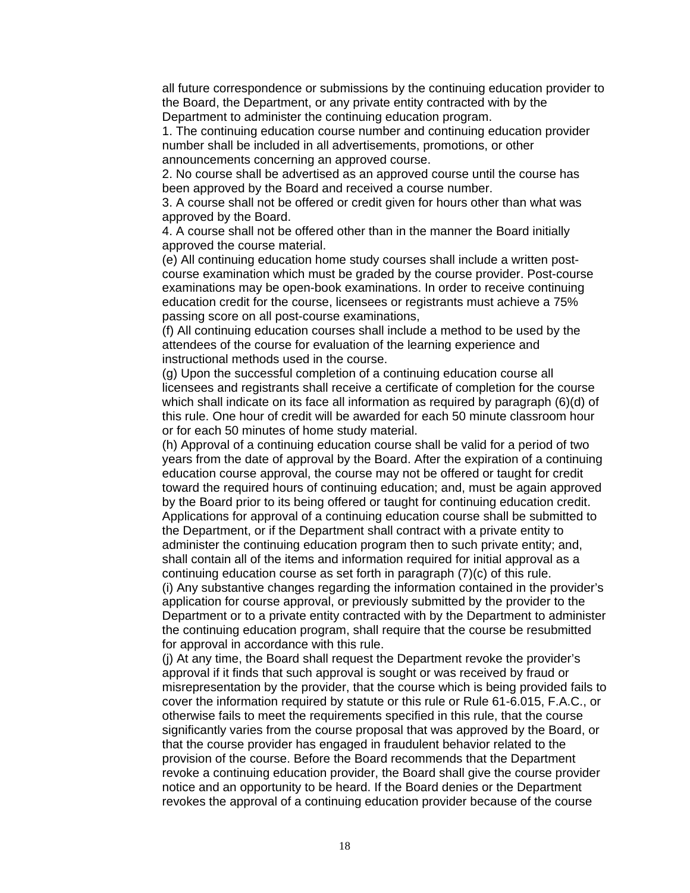all future correspondence or submissions by the continuing education provider to the Board, the Department, or any private entity contracted with by the Department to administer the continuing education program.

1. The continuing education course number and continuing education provider number shall be included in all advertisements, promotions, or other announcements concerning an approved course.

2. No course shall be advertised as an approved course until the course has been approved by the Board and received a course number.

3. A course shall not be offered or credit given for hours other than what was approved by the Board.

4. A course shall not be offered other than in the manner the Board initially approved the course material.

(e) All continuing education home study courses shall include a written postcourse examination which must be graded by the course provider. Post-course examinations may be open-book examinations. In order to receive continuing education credit for the course, licensees or registrants must achieve a 75% passing score on all post-course examinations,

(f) All continuing education courses shall include a method to be used by the attendees of the course for evaluation of the learning experience and instructional methods used in the course.

(g) Upon the successful completion of a continuing education course all licensees and registrants shall receive a certificate of completion for the course which shall indicate on its face all information as required by paragraph (6)(d) of this rule. One hour of credit will be awarded for each 50 minute classroom hour or for each 50 minutes of home study material.

(h) Approval of a continuing education course shall be valid for a period of two years from the date of approval by the Board. After the expiration of a continuing education course approval, the course may not be offered or taught for credit toward the required hours of continuing education; and, must be again approved by the Board prior to its being offered or taught for continuing education credit. Applications for approval of a continuing education course shall be submitted to the Department, or if the Department shall contract with a private entity to administer the continuing education program then to such private entity; and, shall contain all of the items and information required for initial approval as a continuing education course as set forth in paragraph (7)(c) of this rule.

(i) Any substantive changes regarding the information contained in the provider's application for course approval, or previously submitted by the provider to the Department or to a private entity contracted with by the Department to administer the continuing education program, shall require that the course be resubmitted for approval in accordance with this rule.

(j) At any time, the Board shall request the Department revoke the provider's approval if it finds that such approval is sought or was received by fraud or misrepresentation by the provider, that the course which is being provided fails to cover the information required by statute or this rule or Rule 61-6.015, F.A.C., or otherwise fails to meet the requirements specified in this rule, that the course significantly varies from the course proposal that was approved by the Board, or that the course provider has engaged in fraudulent behavior related to the provision of the course. Before the Board recommends that the Department revoke a continuing education provider, the Board shall give the course provider notice and an opportunity to be heard. If the Board denies or the Department revokes the approval of a continuing education provider because of the course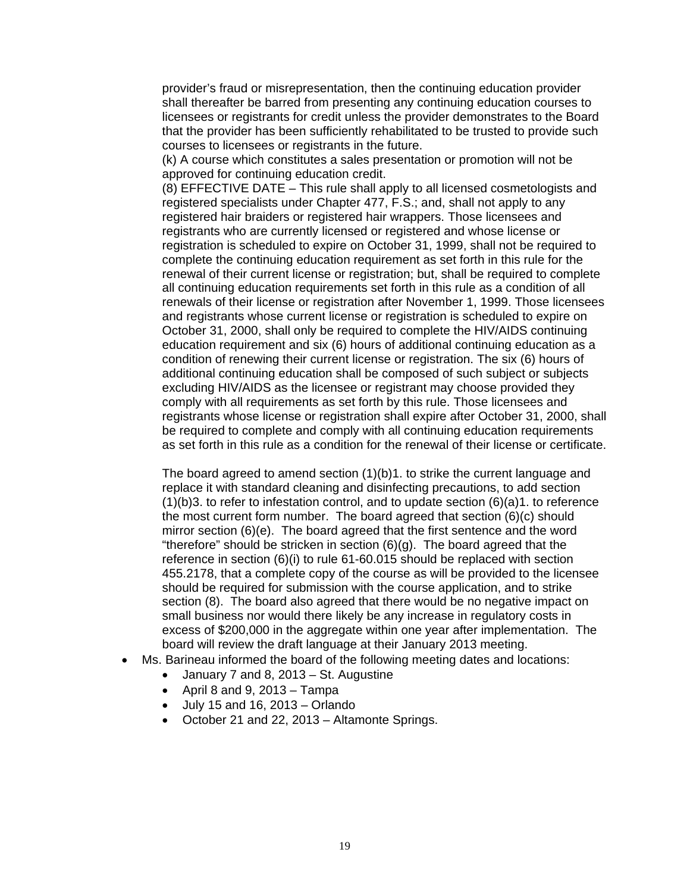provider's fraud or misrepresentation, then the continuing education provider shall thereafter be barred from presenting any continuing education courses to licensees or registrants for credit unless the provider demonstrates to the Board that the provider has been sufficiently rehabilitated to be trusted to provide such courses to licensees or registrants in the future.

(k) A course which constitutes a sales presentation or promotion will not be approved for continuing education credit.

(8) EFFECTIVE DATE – This rule shall apply to all licensed cosmetologists and registered specialists under Chapter 477, F.S.; and, shall not apply to any registered hair braiders or registered hair wrappers. Those licensees and registrants who are currently licensed or registered and whose license or registration is scheduled to expire on October 31, 1999, shall not be required to complete the continuing education requirement as set forth in this rule for the renewal of their current license or registration; but, shall be required to complete all continuing education requirements set forth in this rule as a condition of all renewals of their license or registration after November 1, 1999. Those licensees and registrants whose current license or registration is scheduled to expire on October 31, 2000, shall only be required to complete the HIV/AIDS continuing education requirement and six (6) hours of additional continuing education as a condition of renewing their current license or registration. The six (6) hours of additional continuing education shall be composed of such subject or subjects excluding HIV/AIDS as the licensee or registrant may choose provided they comply with all requirements as set forth by this rule. Those licensees and registrants whose license or registration shall expire after October 31, 2000, shall be required to complete and comply with all continuing education requirements as set forth in this rule as a condition for the renewal of their license or certificate.

The board agreed to amend section (1)(b)1. to strike the current language and replace it with standard cleaning and disinfecting precautions, to add section (1)(b)3. to refer to infestation control, and to update section (6)(a)1. to reference the most current form number. The board agreed that section (6)(c) should mirror section (6)(e). The board agreed that the first sentence and the word "therefore" should be stricken in section  $(6)(g)$ . The board agreed that the reference in section (6)(i) to rule 61-60.015 should be replaced with section 455.2178, that a complete copy of the course as will be provided to the licensee should be required for submission with the course application, and to strike section (8). The board also agreed that there would be no negative impact on small business nor would there likely be any increase in regulatory costs in excess of \$200,000 in the aggregate within one year after implementation. The board will review the draft language at their January 2013 meeting.

- Ms. Barineau informed the board of the following meeting dates and locations:
	- January 7 and 8, 2013 St. Augustine
	- April 8 and 9, 2013  $-$  Tampa
	- July 15 and 16, 2013 Orlando
	- October 21 and 22, 2013 Altamonte Springs.